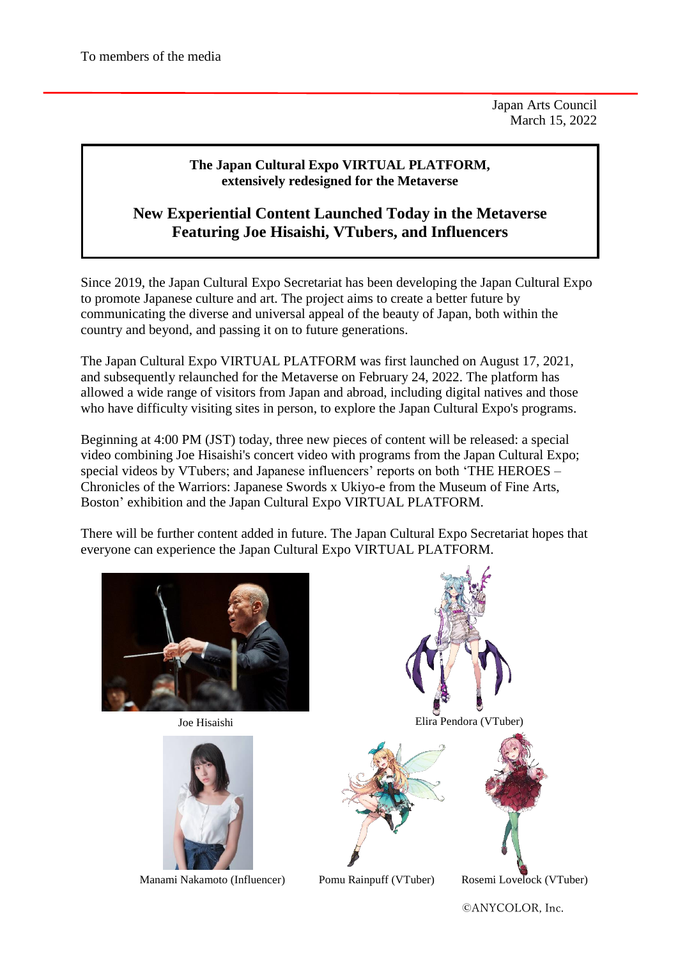Japan Arts Council March 15, 2022

## **The Japan Cultural Expo VIRTUAL PLATFORM, extensively redesigned for the Metaverse**

## **New Experiential Content Launched Today in the Metaverse Featuring Joe Hisaishi, VTubers, and Influencers**

Since 2019, the Japan Cultural Expo Secretariat has been developing the Japan Cultural Expo to promote Japanese culture and art. The project aims to create a better future by communicating the diverse and universal appeal of the beauty of Japan, both within the country and beyond, and passing it on to future generations.

The Japan Cultural Expo VIRTUAL PLATFORM was first launched on August 17, 2021, and subsequently relaunched for the Metaverse on February 24, 2022. The platform has allowed a wide range of visitors from Japan and abroad, including digital natives and those who have difficulty visiting sites in person, to explore the Japan Cultural Expo's programs.

Beginning at 4:00 PM (JST) today, three new pieces of content will be released: a special video combining Joe Hisaishi's concert video with programs from the Japan Cultural Expo; special videos by VTubers; and Japanese influencers' reports on both 'THE HEROES – Chronicles of the Warriors: Japanese Swords x Ukiyo-e from the Museum of Fine Arts, Boston' exhibition and the Japan Cultural Expo VIRTUAL PLATFORM.

There will be further content added in future. The Japan Cultural Expo Secretariat hopes that everyone can experience the Japan Cultural Expo VIRTUAL PLATFORM.



Joe Hisaishi



Manami Nakamoto (Influencer)



©️ANYCOLOR, Inc.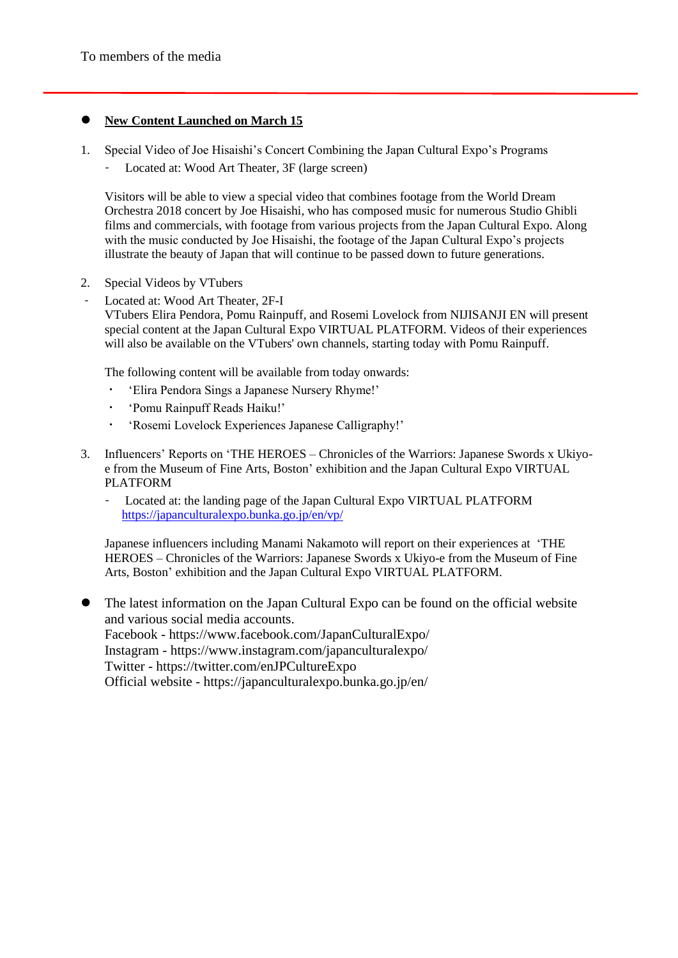## **New Content Launched on March 15**

- 1. Special Video of Joe Hisaishi's Concert Combining the Japan Cultural Expo's Programs
	- Located at: Wood Art Theater, 3F (large screen)

Visitors will be able to view a special video that combines footage from the World Dream Orchestra 2018 concert by Joe Hisaishi, who has composed music for numerous Studio Ghibli films and commercials, with footage from various projects from the Japan Cultural Expo. Along with the music conducted by Joe Hisaishi, the footage of the Japan Cultural Expo's projects illustrate the beauty of Japan that will continue to be passed down to future generations.

- 2. Special Videos by VTubers
- Located at: Wood Art Theater, 2F-I

VTubers Elira Pendora, Pomu Rainpuff, and Rosemi Lovelock from NIJISANJI EN will present special content at the Japan Cultural Expo VIRTUAL PLATFORM. Videos of their experiences will also be available on the VTubers' own channels, starting today with Pomu Rainpuff.

The following content will be available from today onwards:

- ・ 'Elira Pendora Sings a Japanese Nursery Rhyme!'
- ・ 'Pomu Rainpuff Reads Haiku!'
- ・ 'Rosemi Lovelock Experiences Japanese Calligraphy!'
- 3. Influencers' Reports on 'THE HEROES Chronicles of the Warriors: Japanese Swords x Ukiyoe from the Museum of Fine Arts, Boston' exhibition and the Japan Cultural Expo VIRTUAL PLATFORM
	- Located at: the landing page of the Japan Cultural Expo VIRTUAL PLATFORM <https://japanculturalexpo.bunka.go.jp/en/vp/>

Japanese influencers including Manami Nakamoto will report on their experiences at 'THE HEROES – Chronicles of the Warriors: Japanese Swords x Ukiyo-e from the Museum of Fine Arts, Boston' exhibition and the Japan Cultural Expo VIRTUAL PLATFORM.

 The latest information on the Japan Cultural Expo can be found on the official website and various social media accounts. Facebook - https://www.facebook.com/JapanCulturalExpo/ Instagram - https://www.instagram.com/japanculturalexpo/ Twitter - https://twitter.com/enJPCultureExpo Official website - https://japanculturalexpo.bunka.go.jp/en/